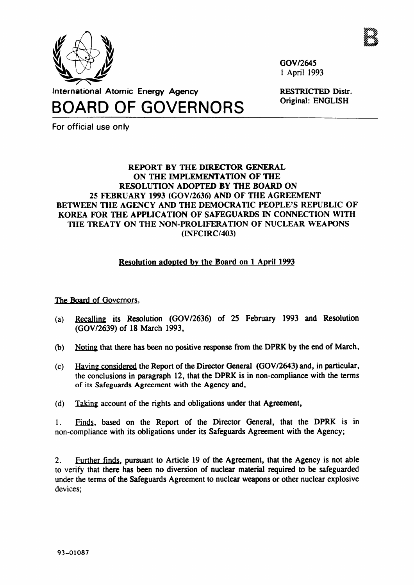

GOV/2645 1 April 1993

RESTRICTED Distr. Original: ENGLISH

**International Atomic Energy Agency**

BOARD OF GOVERNORS

For official use only

## **REPORT BY THE DIRECTOR GENERAL ON THE IMPLEMENTATION OF THE RESOLUTION ADOPTED BY THE BOARD ON 25 FEBRUARY 1993 (GOV/2636) AND OF THE AGREEMENT BETWEEN THE AGENCY AND THE DEMOCRATIC PEOPLE'S REPUBLIC OF KOREA FOR THE APPLICATION OF SAFEGUARDS IN CONNECTION WITH THE TREATY ON THE NON-PROLIFERATION OF NUCLEAR WEAPONS** (INFCIRC/403)

## Resolution adopted by the Board on 1 April 1993

The Board of Governors.

- (a) Recalling its Resolution (GOV/2636) of 25 February 1993 and Resolution (GOV/2639) of 18 March 1993,
- (b) Noting that there has been no positive response from the DPRK by the end of March,
- (c) Having considered the Report of the Director General (GOV/2643) and, in particular, the conclusions in paragraph 12, that the DPRK is in non-compliance with the terms of its Safeguards Agreement with the Agency and,
- (d) Taking account of the rights and obligations under that Agreement,

1. Finds, based on the Report of the Director General, that the DPRK is in non-compliance with its obligations under its Safeguards Agreement with the Agency;

2. Further finds, pursuant to Article 19 of the Agreement, that the Agency is not able to verify that there has been no diversion of nuclear material required to be safeguarded under the terms of the Safeguards Agreement to nuclear weapons or other nuclear explosive devices;